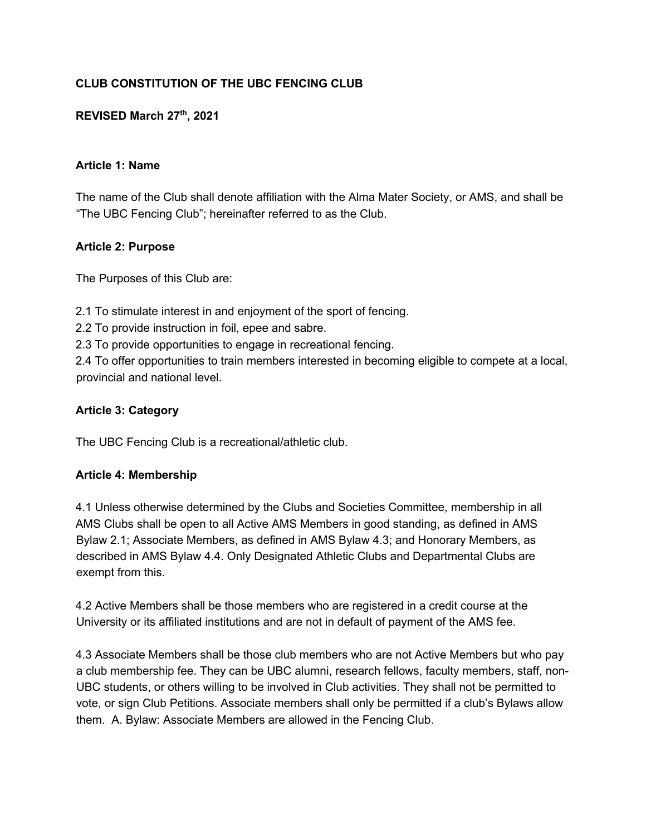# **CLUB CONSTITUTION OF THE UBC FENCING CLUB**

## **REVISED March 27th, 2021**

#### **Article 1: Name**

The name of the Club shall denote affiliation with the Alma Mater Society, or AMS, and shall be "The UBC Fencing Club"; hereinafter referred to as the Club.

#### **Article 2: Purpose**

The Purposes of this Club are:

2.1 To stimulate interest in and enjoyment of the sport of fencing.

2.2 To provide instruction in foil, epee and sabre.

2.3 To provide opportunities to engage in recreational fencing.

2.4 To offer opportunities to train members interested in becoming eligible to compete at a local, provincial and national level.

#### **Article 3: Category**

The UBC Fencing Club is a recreational/athletic club.

#### **Article 4: Membership**

4.1 Unless otherwise determined by the Clubs and Societies Committee, membership in all AMS Clubs shall be open to all Active AMS Members in good standing, as defined in AMS Bylaw 2.1; Associate Members, as defined in AMS Bylaw 4.3; and Honorary Members, as described in AMS Bylaw 4.4. Only Designated Athletic Clubs and Departmental Clubs are exempt from this.

4.2 Active Members shall be those members who are registered in a credit course at the University or its affiliated institutions and are not in default of payment of the AMS fee.

4.3 Associate Members shall be those club members who are not Active Members but who pay a club membership fee. They can be UBC alumni, research fellows, faculty members, staff, non-UBC students, or others willing to be involved in Club activities. They shall not be permitted to vote, or sign Club Petitions. Associate members shall only be permitted if a club's Bylaws allow them. A. Bylaw: Associate Members are allowed in the Fencing Club.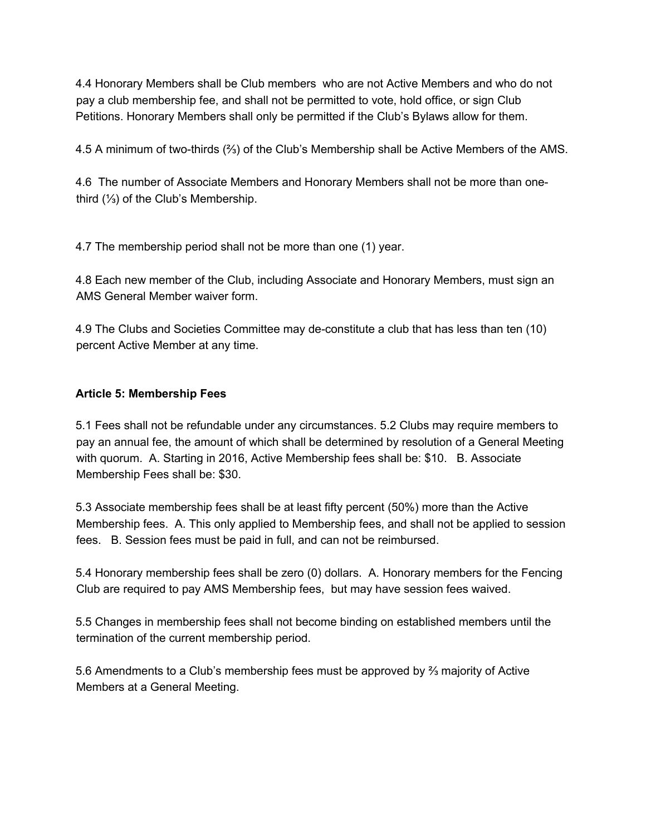4.4 Honorary Members shall be Club members who are not Active Members and who do not pay a club membership fee, and shall not be permitted to vote, hold office, or sign Club Petitions. Honorary Members shall only be permitted if the Club's Bylaws allow for them.

4.5 A minimum of two-thirds (⅔) of the Club's Membership shall be Active Members of the AMS.

4.6 The number of Associate Members and Honorary Members shall not be more than onethird (⅓) of the Club's Membership.

4.7 The membership period shall not be more than one (1) year.

4.8 Each new member of the Club, including Associate and Honorary Members, must sign an AMS General Member waiver form.

4.9 The Clubs and Societies Committee may de-constitute a club that has less than ten (10) percent Active Member at any time.

# **Article 5: Membership Fees**

5.1 Fees shall not be refundable under any circumstances. 5.2 Clubs may require members to pay an annual fee, the amount of which shall be determined by resolution of a General Meeting with quorum. A. Starting in 2016, Active Membership fees shall be: \$10. B. Associate Membership Fees shall be: \$30.

5.3 Associate membership fees shall be at least fifty percent (50%) more than the Active Membership fees. A. This only applied to Membership fees, and shall not be applied to session fees. B. Session fees must be paid in full, and can not be reimbursed.

5.4 Honorary membership fees shall be zero (0) dollars. A. Honorary members for the Fencing Club are required to pay AMS Membership fees, but may have session fees waived.

5.5 Changes in membership fees shall not become binding on established members until the termination of the current membership period.

5.6 Amendments to a Club's membership fees must be approved by ⅔ majority of Active Members at a General Meeting.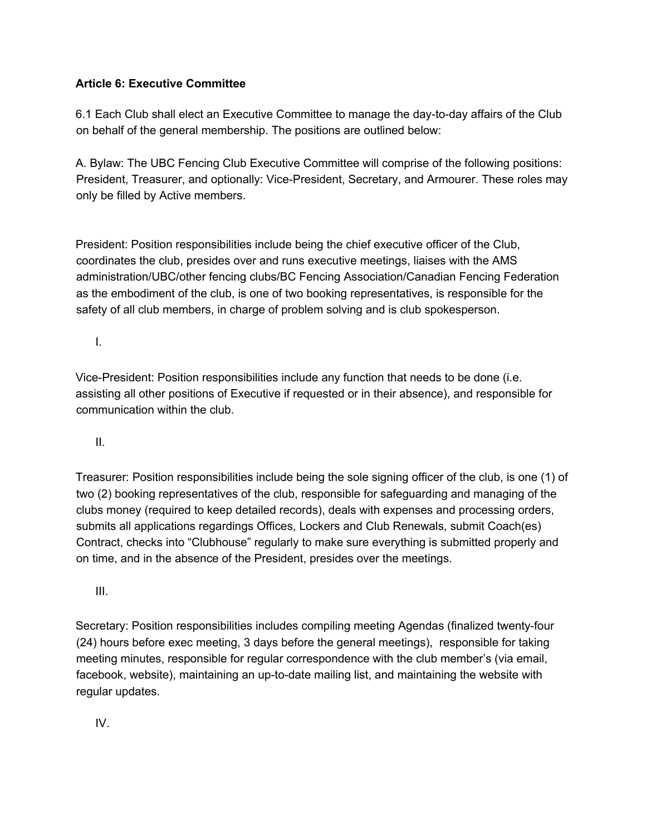## **Article 6: Executive Committee**

6.1 Each Club shall elect an Executive Committee to manage the day-to-day affairs of the Club on behalf of the general membership. The positions are outlined below:

A. Bylaw: The UBC Fencing Club Executive Committee will comprise of the following positions: President, Treasurer, and optionally: Vice-President, Secretary, and Armourer. These roles may only be filled by Active members.

President: Position responsibilities include being the chief executive officer of the Club, coordinates the club, presides over and runs executive meetings, liaises with the AMS administration/UBC/other fencing clubs/BC Fencing Association/Canadian Fencing Federation as the embodiment of the club, is one of two booking representatives, is responsible for the safety of all club members, in charge of problem solving and is club spokesperson.

I.

Vice-President: Position responsibilities include any function that needs to be done (i.e. assisting all other positions of Executive if requested or in their absence), and responsible for communication within the club.

II.

Treasurer: Position responsibilities include being the sole signing officer of the club, is one (1) of two (2) booking representatives of the club, responsible for safeguarding and managing of the clubs money (required to keep detailed records), deals with expenses and processing orders, submits all applications regardings Offices, Lockers and Club Renewals, submit Coach(es) Contract, checks into "Clubhouse" regularly to make sure everything is submitted properly and on time, and in the absence of the President, presides over the meetings.

III.

Secretary: Position responsibilities includes compiling meeting Agendas (finalized twenty-four (24) hours before exec meeting, 3 days before the general meetings), responsible for taking meeting minutes, responsible for regular correspondence with the club member's (via email, facebook, website), maintaining an up-to-date mailing list, and maintaining the website with regular updates.

IV.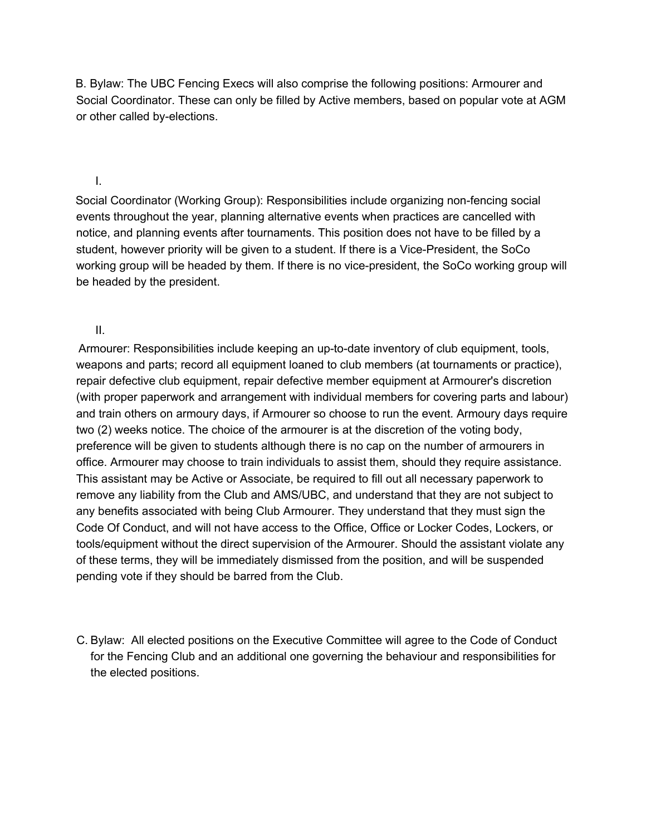B. Bylaw: The UBC Fencing Execs will also comprise the following positions: Armourer and Social Coordinator. These can only be filled by Active members, based on popular vote at AGM or other called by-elections.

#### I.

Social Coordinator (Working Group): Responsibilities include organizing non-fencing social events throughout the year, planning alternative events when practices are cancelled with notice, and planning events after tournaments. This position does not have to be filled by a student, however priority will be given to a student. If there is a Vice-President, the SoCo working group will be headed by them. If there is no vice-president, the SoCo working group will be headed by the president.

II.

Armourer: Responsibilities include keeping an up-to-date inventory of club equipment, tools, weapons and parts; record all equipment loaned to club members (at tournaments or practice), repair defective club equipment, repair defective member equipment at Armourer's discretion (with proper paperwork and arrangement with individual members for covering parts and labour) and train others on armoury days, if Armourer so choose to run the event. Armoury days require two (2) weeks notice. The choice of the armourer is at the discretion of the voting body, preference will be given to students although there is no cap on the number of armourers in office. Armourer may choose to train individuals to assist them, should they require assistance. This assistant may be Active or Associate, be required to fill out all necessary paperwork to remove any liability from the Club and AMS/UBC, and understand that they are not subject to any benefits associated with being Club Armourer. They understand that they must sign the Code Of Conduct, and will not have access to the Office, Office or Locker Codes, Lockers, or tools/equipment without the direct supervision of the Armourer. Should the assistant violate any of these terms, they will be immediately dismissed from the position, and will be suspended pending vote if they should be barred from the Club.

C. Bylaw: All elected positions on the Executive Committee will agree to the Code of Conduct for the Fencing Club and an additional one governing the behaviour and responsibilities for the elected positions.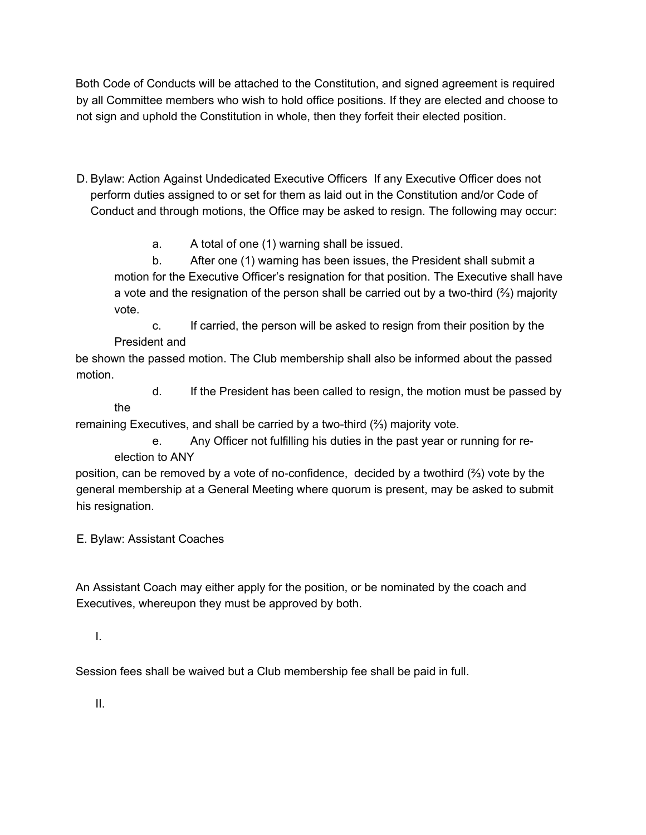Both Code of Conducts will be attached to the Constitution, and signed agreement is required by all Committee members who wish to hold office positions. If they are elected and choose to not sign and uphold the Constitution in whole, then they forfeit their elected position.

D. Bylaw: Action Against Undedicated Executive Officers If any Executive Officer does not perform duties assigned to or set for them as laid out in the Constitution and/or Code of Conduct and through motions, the Office may be asked to resign. The following may occur:

a. A total of one (1) warning shall be issued.

b. After one (1) warning has been issues, the President shall submit a motion for the Executive Officer's resignation for that position. The Executive shall have a vote and the resignation of the person shall be carried out by a two-third (⅔) majority vote.

c. If carried, the person will be asked to resign from their position by the President and

be shown the passed motion. The Club membership shall also be informed about the passed motion.

d. If the President has been called to resign, the motion must be passed by

remaining Executives, and shall be carried by a two-third (⅔) majority vote.

e. Any Officer not fulfilling his duties in the past year or running for reelection to ANY

position, can be removed by a vote of no-confidence, decided by a twothird (⅔) vote by the general membership at a General Meeting where quorum is present, may be asked to submit his resignation.

E. Bylaw: Assistant Coaches

the

An Assistant Coach may either apply for the position, or be nominated by the coach and Executives, whereupon they must be approved by both.

I.

Session fees shall be waived but a Club membership fee shall be paid in full.

II.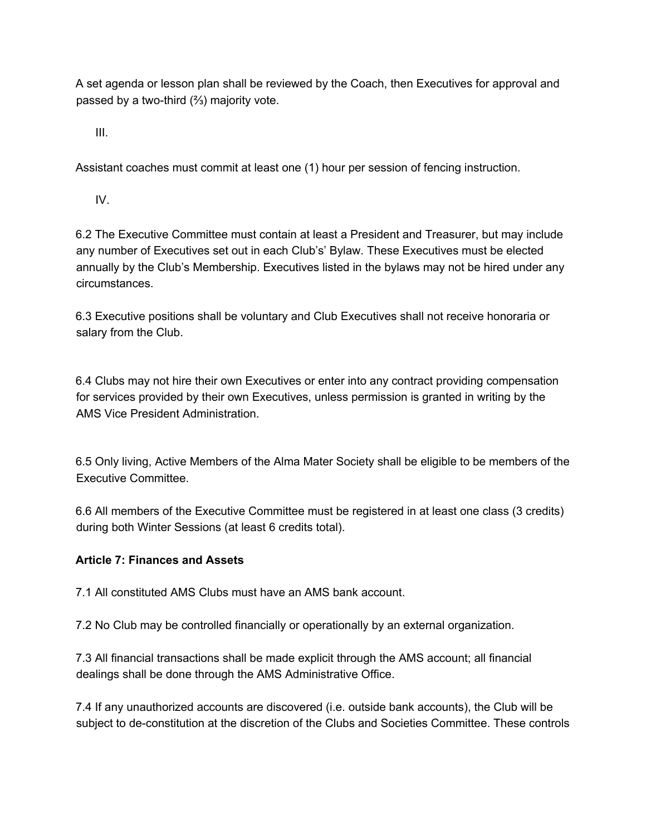A set agenda or lesson plan shall be reviewed by the Coach, then Executives for approval and passed by a two-third (⅔) majority vote.

III.

Assistant coaches must commit at least one (1) hour per session of fencing instruction.

IV.

6.2 The Executive Committee must contain at least a President and Treasurer, but may include any number of Executives set out in each Club's' Bylaw. These Executives must be elected annually by the Club's Membership. Executives listed in the bylaws may not be hired under any circumstances.

6.3 Executive positions shall be voluntary and Club Executives shall not receive honoraria or salary from the Club.

6.4 Clubs may not hire their own Executives or enter into any contract providing compensation for services provided by their own Executives, unless permission is granted in writing by the AMS Vice President Administration.

6.5 Only living, Active Members of the Alma Mater Society shall be eligible to be members of the Executive Committee.

6.6 All members of the Executive Committee must be registered in at least one class (3 credits) during both Winter Sessions (at least 6 credits total).

## **Article 7: Finances and Assets**

7.1 All constituted AMS Clubs must have an AMS bank account.

7.2 No Club may be controlled financially or operationally by an external organization.

7.3 All financial transactions shall be made explicit through the AMS account; all financial dealings shall be done through the AMS Administrative Office.

7.4 If any unauthorized accounts are discovered (i.e. outside bank accounts), the Club will be subject to de-constitution at the discretion of the Clubs and Societies Committee. These controls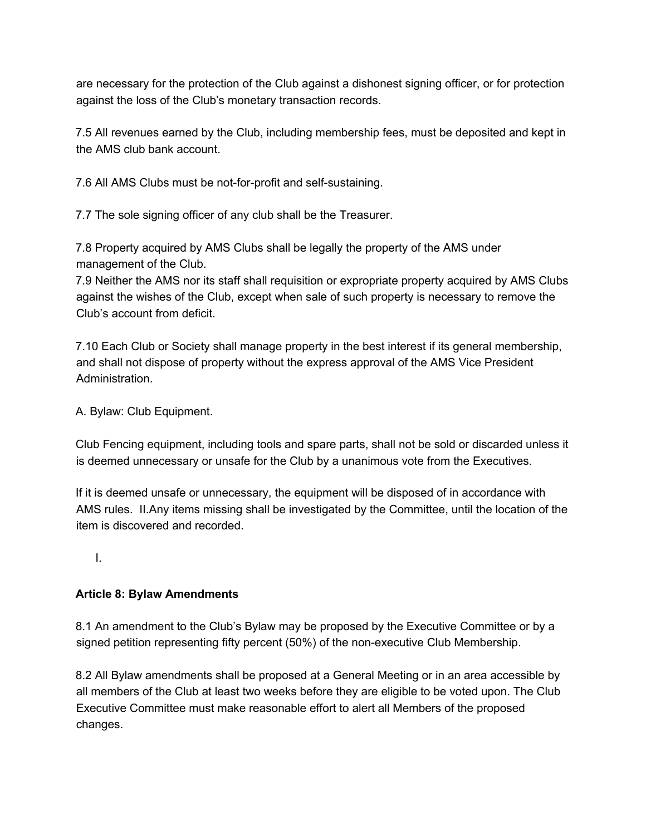are necessary for the protection of the Club against a dishonest signing officer, or for protection against the loss of the Club's monetary transaction records.

7.5 All revenues earned by the Club, including membership fees, must be deposited and kept in the AMS club bank account.

7.6 All AMS Clubs must be not-for-profit and self-sustaining.

7.7 The sole signing officer of any club shall be the Treasurer.

7.8 Property acquired by AMS Clubs shall be legally the property of the AMS under management of the Club.

7.9 Neither the AMS nor its staff shall requisition or expropriate property acquired by AMS Clubs against the wishes of the Club, except when sale of such property is necessary to remove the Club's account from deficit.

7.10 Each Club or Society shall manage property in the best interest if its general membership, and shall not dispose of property without the express approval of the AMS Vice President Administration.

A. Bylaw: Club Equipment.

Club Fencing equipment, including tools and spare parts, shall not be sold or discarded unless it is deemed unnecessary or unsafe for the Club by a unanimous vote from the Executives.

If it is deemed unsafe or unnecessary, the equipment will be disposed of in accordance with AMS rules. II.Any items missing shall be investigated by the Committee, until the location of the item is discovered and recorded.

I.

## **Article 8: Bylaw Amendments**

8.1 An amendment to the Club's Bylaw may be proposed by the Executive Committee or by a signed petition representing fifty percent (50%) of the non-executive Club Membership.

8.2 All Bylaw amendments shall be proposed at a General Meeting or in an area accessible by all members of the Club at least two weeks before they are eligible to be voted upon. The Club Executive Committee must make reasonable effort to alert all Members of the proposed changes.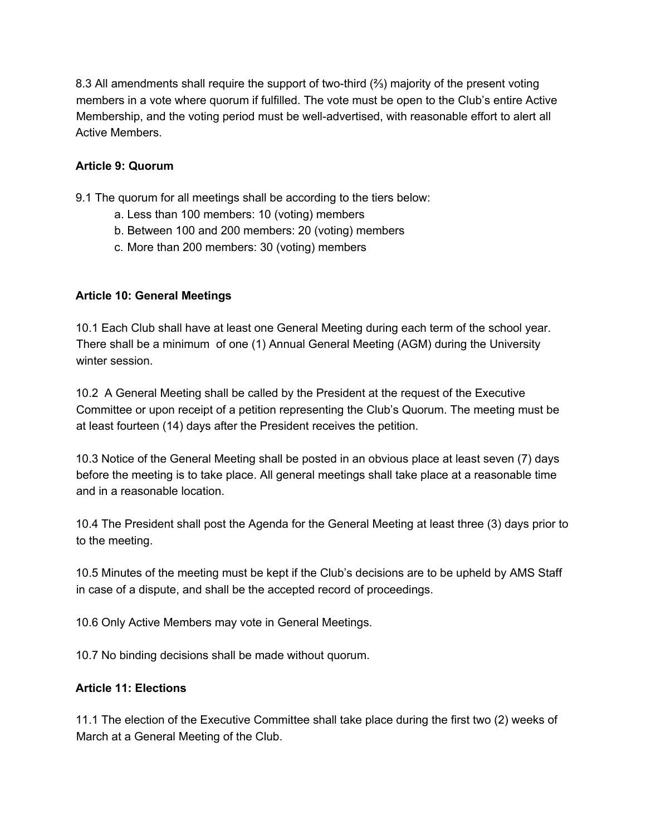8.3 All amendments shall require the support of two-third (⅔) majority of the present voting members in a vote where quorum if fulfilled. The vote must be open to the Club's entire Active Membership, and the voting period must be well-advertised, with reasonable effort to alert all Active Members.

## **Article 9: Quorum**

9.1 The quorum for all meetings shall be according to the tiers below:

- a. Less than 100 members: 10 (voting) members
- b. Between 100 and 200 members: 20 (voting) members
- c. More than 200 members: 30 (voting) members

# **Article 10: General Meetings**

10.1 Each Club shall have at least one General Meeting during each term of the school year. There shall be a minimum of one (1) Annual General Meeting (AGM) during the University winter session.

10.2 A General Meeting shall be called by the President at the request of the Executive Committee or upon receipt of a petition representing the Club's Quorum. The meeting must be at least fourteen (14) days after the President receives the petition.

10.3 Notice of the General Meeting shall be posted in an obvious place at least seven (7) days before the meeting is to take place. All general meetings shall take place at a reasonable time and in a reasonable location.

10.4 The President shall post the Agenda for the General Meeting at least three (3) days prior to to the meeting.

10.5 Minutes of the meeting must be kept if the Club's decisions are to be upheld by AMS Staff in case of a dispute, and shall be the accepted record of proceedings.

10.6 Only Active Members may vote in General Meetings.

10.7 No binding decisions shall be made without quorum.

## **Article 11: Elections**

11.1 The election of the Executive Committee shall take place during the first two (2) weeks of March at a General Meeting of the Club.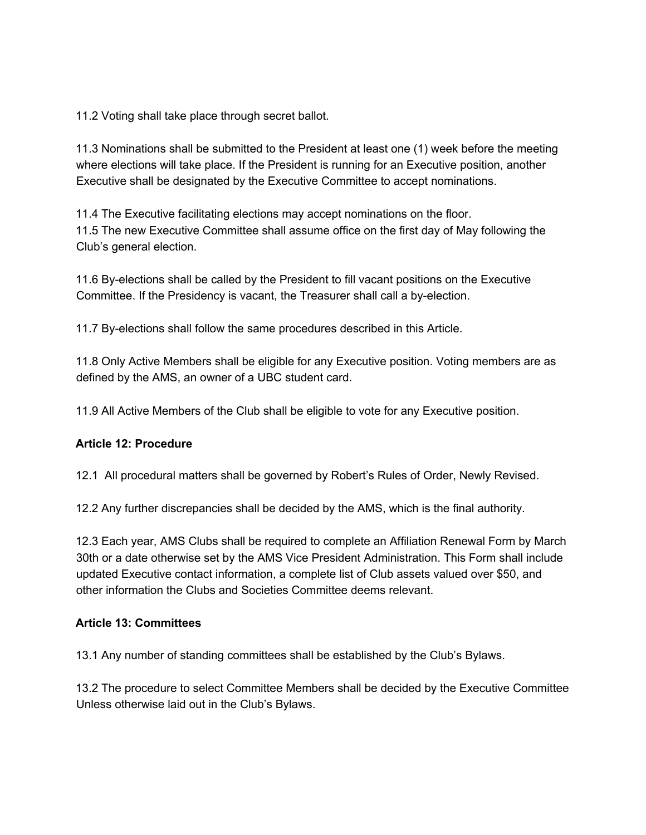11.2 Voting shall take place through secret ballot.

11.3 Nominations shall be submitted to the President at least one (1) week before the meeting where elections will take place. If the President is running for an Executive position, another Executive shall be designated by the Executive Committee to accept nominations.

11.4 The Executive facilitating elections may accept nominations on the floor. 11.5 The new Executive Committee shall assume office on the first day of May following the Club's general election.

11.6 By-elections shall be called by the President to fill vacant positions on the Executive Committee. If the Presidency is vacant, the Treasurer shall call a by-election.

11.7 By-elections shall follow the same procedures described in this Article.

11.8 Only Active Members shall be eligible for any Executive position. Voting members are as defined by the AMS, an owner of a UBC student card.

11.9 All Active Members of the Club shall be eligible to vote for any Executive position.

#### **Article 12: Procedure**

12.1 All procedural matters shall be governed by Robert's Rules of Order, Newly Revised.

12.2 Any further discrepancies shall be decided by the AMS, which is the final authority.

12.3 Each year, AMS Clubs shall be required to complete an Affiliation Renewal Form by March 30th or a date otherwise set by the AMS Vice President Administration. This Form shall include updated Executive contact information, a complete list of Club assets valued over \$50, and other information the Clubs and Societies Committee deems relevant.

#### **Article 13: Committees**

13.1 Any number of standing committees shall be established by the Club's Bylaws.

13.2 The procedure to select Committee Members shall be decided by the Executive Committee Unless otherwise laid out in the Club's Bylaws.